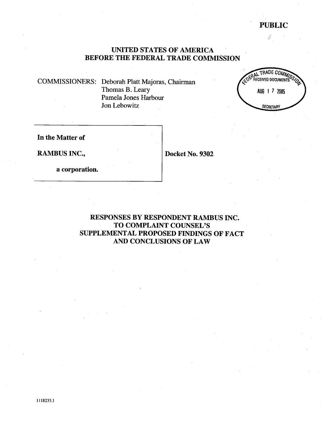# PUBLIC

ý.

# UNITED STATES OF AMERICA BEFORE THE FEDERAL TRADE COMMISSION

COMMISSIONERS: Deborah Platt Majoras, Chairman Thomas B. Leary Pamela Jones Harbour Jon Lebowitz



In the Matter of

RAMBUS INC., Docket No. 9302

a corporation.

RESPONSES BY RESPONDENT RAMBUS INC. TO COMPLAINT COUNSEL'S SUPPLEMENT AL PROPOSED FINDINGS OF FACT AND CONCLUSIONS OF LAW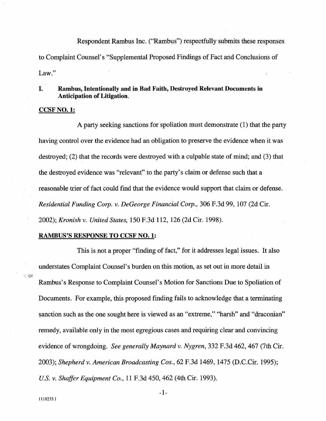Respondent Rambus Inc. ("Rambus") respectfully submits these responses to Complaint Counsel's "Supplemental Proposed Findings of Fact and Conclusions of Law."

# I. Rambus, Intentionally and in Bad Faith, Destroyed Relevant Documents in Anticipation of Litigation.

### CCSF NO.1:

A pary seeking sanctions for spoliation must demonstrate (1) that the pary having control over the evidence had an obligation to preserve the evidence when it was destroyed; (2) that the records were destroyed with a culpable state of mind; and (3) that the destroyed evidence was "relevant" to the pary's claim or defense such that a reasonable trier of fact could find that the evidence would support that claim or defense. Residential Funding Corp. v. DeGeorge Financial Corp., 306 F.3d 99, 107 (2d Cir. 2002); Kronish v. United States, 150 F.3d 112, 126 (2d Cir. 1998).

# RAMBUS'S RESPONSE TO CCSF NO.1:

This is not a proper "finding of fact," for it addresses legal issues. It also understates Complaint Counsel's burden on this motion, as set out in more detail in Rambus's Response to Complaint Counsel's Motion for Sanctions Due to Spoliation of Documents. For example, this proposed finding fails to acknowledge that a terminating sanction such as the one sought here is viewed as an "extreme," "harsh" and "draconian" remedy, available only in the most egregious cases and requiring clear and convincing evidence of wrongdoing. See generally Maynard v. Nygren, 332 F.3d 462, 467 (7th Cir. 2003); Shepherd v. American Broadcasting Cos., 62 F.3d 1469, 1475 (D.C.Cir. 1995); U.S. v. Shaffer Equipment Co., 11 F.3d 450, 462 (4th Cir. 1993).

;,.: ¡-tll'

-1-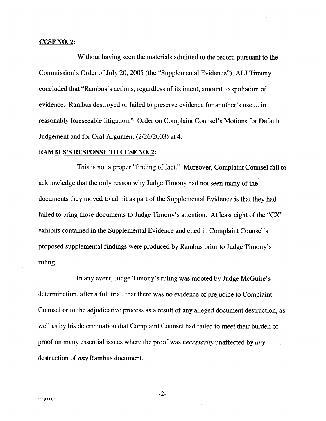### CCSF NO.2:

Without having seen the materials admitted to the record pursuant to the Commission's Order of July 20, 2005 (the "Supplemental Evidence"), ALJ Timony concluded that "Rambus' s actions, regardless of its intent, amount to spoliation of evidence. Rambus destroyed or failed to preserve evidence for another's use ... in reasonably foreseeable litigation." Order on Complaint Counsel's Motions for Default Judgement and for Oral Argument (2/26/2003) at 4.

# RAMBUS'S RESPONSE TO CCSF NO.2:

This is not a proper "finding of fact." Moreover, Complaint Counsel fail to acknowledge that the only reason why Judge Timony had not seen many of the documents they moved to admit as part of the Supplemental Evidence is that they had failed to bring those documents to Judge Timony's attention. At least eight of the "CX" exhibits contained in the Supplemental Evidence and cited in Complaint Counsel's proposed supplemental findings were produced by Rambus prior to Judge Timony's ruling.

In any event, Judge Timony's ruling was mooted by Judge McGuire's determination, after a full trial, that there was no evidence of prejudice to Complaint Counsel or to the adjudicative process as a result of any alleged document destruction, as well as by his determination that Complaint Counsel had failed to meet their burden of proof on many essential issues where the proof was *necessarily* unaffected by *any* destruction of *any* Rambus document.

-2-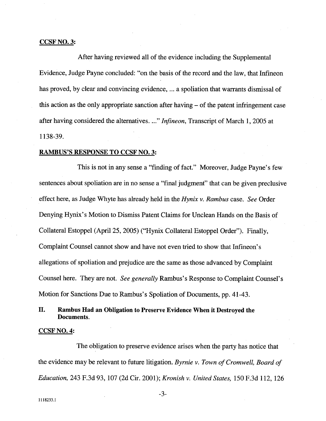# CCSF NO.3:

After having reviewed all of the evidence including the Supplemental Evidence, Judge Payne concluded: "on the basis of the record and the law, that Infjneon has proved, by clear and convincing evidence, ... a spoliation that warrants dismissal of this action as the only appropriate sanction after having - of the patent infingement case after having considered the alternatives. ..." Infineon, Transcript of March 1, 2005 at 1138-39.

# RAMBUS'S RESPONSE TO CCSF NO.3:

This is not in any sense a "finding of fact." Moreover, Judge Payne's few sentences about spoliation are in no sense a "final judgment" that can be given preclusive effect here, as Judge Whyte has already held in the Hynix v. Rambus case. See Order Denying Hynix's Motion to Dismiss Patent Claims for Unclean Hands on the Basis of Collateral Estoppel (April 25, 2005) ("Hynix Collateral Estoppel Order"). Finally, Complaint Counsel canot show and have not even tried to show that Infineon's allegations of spoliation and prejudice are the same as those advanced by Complaint Counsel here. They are not. See generally Rambus's Response to Complaint Counsel's Motion for Sanctions Due to Rambus's Spoliation of Documents, pp. 41-43.

# II. Rambus Had an Obligation to Preserve Evidence When it Destroyed the Documents.

### CCSF NO.4:

The obligation to preserve evidence arises when the pary has notice that the evidence may be relevant to future litigation. Byrnie v. Town of Cromwell, Board of Education, 243 F.3d 93, 107 (2d Cir. 2001); Kronish v. United States, 150 F.3d 112, 126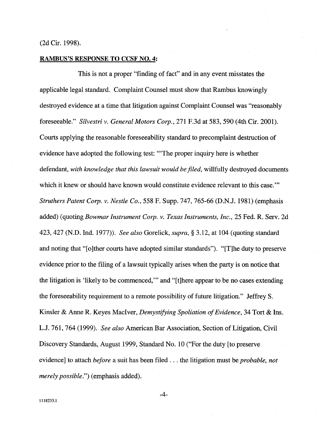# (2d Cir. 1998).

# RAMBUS'S RESPONSE TO CCSF NO.4:

This is not a proper "finding of fact" and in any event misstates the applicable legal standard. Complaint Counsel must show that Rambus knowingly destroyed evidence at a time that litigation against Complaint Counsel was "reasonablyforeseeable." Silvestri v. General Motors Corp., 271 F.3d at 583,590 (4th Cir. 2001). Courts applying the reasonable foreseeability standard to precomplaint destruction of evidence have adopted the following test: '''The proper inquiry here is whether defendant, with knowledge that this lawsuit would be filed, willfully destroyed documents which it knew or should have known would constitute evidence relevant to this case." Struthers Patent Corp. v. Nestle Co., 558 F. Supp. 747, 765-66 (D.N.J. 1981) (emphasis added) (quoting Bowmar Instrument Corp. v. Texas Instruments, Inc., 25 Fed. R. Serv. 2d 423,427 (N.D. Ind. 1977)). See also Gorelick, supra, § 3.12, at 104 (quoting standard and noting that "[o]ther courts have adopted similar standards"). "[T]he duty to preserve evidence prior to the filng of a lawsuit typically arises when the pary is on notice that the litigation is 'likely to be commenced,'" and "(t)here appear to be no cases extending the foreseeabilty requirement to a remote possibilty of future litigation." Jeffrey S. Kinsler & Anne R. Keyes MacIver, *Demystifying Spoliation of Evidence*, 34 Tort & Ins. LJ. 761, 764 (1999). See also American Bar Association, Section of Litigation, Civil Discovery Standards, August 1999, Standard No. 10 ("For the duty (to preserve evidence) to attach *before* a suit has been filed . . . the litigation must be *probable*, not merely possible.") (emphasis added).

-4-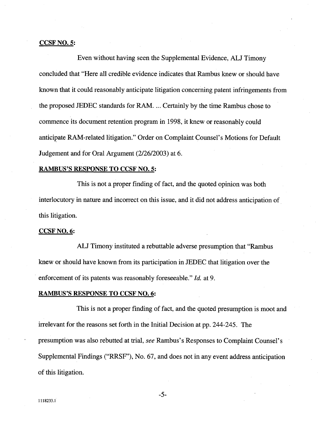### CCSF NO.5:

Even without having seen the Supplemental Evidence, ALJ Timony concluded that "Here all credible evidence indicates that Rambus knew or should have known that it could reasonably anticipate litigation concernng patent infringements from the proposed JEDEC standards for RAM. ... Certainly by the time Rambus chose to commence its document retention program in 1998, it knew or reasonably could anticipate RAM-related litigation." Order on Complaint Counsel's Motions for Default Judgement and for Oral Argument (2/26/2003) at 6.

### RAMBUS'S RESPONSE TO CCSF NO.5:

This is not a proper finding of fact, and the quoted opinion was both interlocutory in nature and incorrect on this issue, and it did not address anticipation of. this litigation.

### CCSF NO. 6:

ALJ Timony instituted a rebuttable adverse presumption that "Rambus" knew or should have known from its participation in JEDEC that litigation over the enforcement of its patents was reasonably foreseeable." *Id.* at 9.

### **RAMBUS'S RESPONSE TO CCSF NO. 6:**

This is not a proper finding of fact, and the quoted presumption is moot and irrelevant for the reasons set forth in the Initial Decision at pp. 244-245. The presumption was also rebutted at trial, see Rambus's Responses to Complaint Counsel's Supplemental Findings ("RRSF"), No. 67, and does not in any event address anticipation of this litigation.

-5-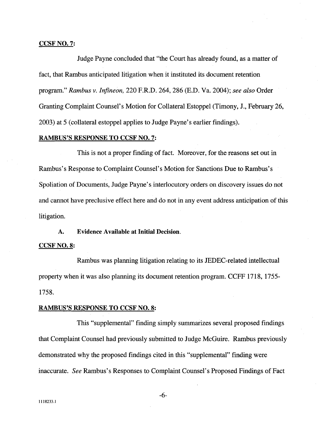# CCSF NO. 7:

Judge Payne concluded that "the Court has already found, as a matter of fact, that Rambus anticipated litigation when it instituted its document retention program." Rambus v. Infineon, 220 F.R.D. 264, 286 (E.D. Va. 2004); see also Order Granting Complaint Counsel's Motion for Collateral Estoppel (Timony, J., February 26, 2003) at 5 (collateral estoppel applies to Judge Payne's earlier findings).

# RAMBUS'S RESPONSE TO CCSF NO.7:

This is not a proper finding of fact. Moreover, for the reasons set out in Rambus's Response to Complaint Counsel's Motion for Sanctions Due to Rambus's Spoliation of Documents, Judge Payne's interlocutory orders on discovery issues do not and cannot have preclusive effect here and do not in any event address anticipation of this litigation.

### A. Evidence Available at Initial Decision.

# CCSF NO. 8:

Rambus was planing litigation relating to its JEDEC-related intellectual property when it was also planning its document retention program. CCFF 1718, 1755-1758.

### RAMBUS'S RESPONSE TO CCSF NO.8:

This "supplemental" finding simply summarizes several proposed findings that Complaint Counsel had previously submitted to Judge McGuire. Rambus previously demonstrated why the proposed findings cited in this "supplemental" finding were inaccurate. See Rambus's Responses to Complaint Counsel's Proposed Findings of Fact

-6-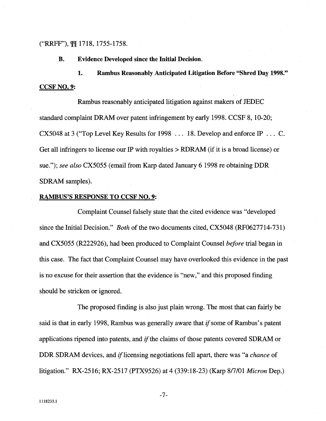# ("RRFF"), \overline{1718, 1755-1758.

B. Evidence Developed since the Initial Decision.

1. Rambus Reasonably Anticipated Litigation Before "Shred Day 1998." CCSF NO.9:

Rambus reasonably anticipated litigation against makers of JEDEC standard complaint DRAM over patent infringement by early 1998. CCSF 8, 10-20; CX5048 at 3 ("Top Level Key Results for 1998 ... 18. Develop and enforce IP . .. C. Get all infringers to license our IP with royalties  $> RDRAM$  (if it is a broad license) or sue."); see also CX5055 (email from Karp dated January 6 1998 re obtaining DDR SDRAM samples).

# RAMBUS'S RESPONSE TO CCSF NO.9:

Complaint Counsel falsely state that the cited evidence was "developed since the Initial Decision." Both of the two documents cited, CX5048 (RF0627714-731) and CX5055 (R222926), had been produced to Complaint Counsel before trial began in this case. The fact that Complaint Counsel may have overlooked this evidence in the past is no excuse for their assertion that the evidence is "new," and this proposed finding should be stricken or ignored.

The proposed finding is also just plain wrong. The most that can fairly be said is that in early 1998, Rambus was generally aware that *if* some of Rambus's patent applications ripened into patents, and if the claims of those patents covered SDRAM or DDR SDRAM devices, and if licensing negotiations fell apart, there was "a *chance* of litigation." RX-2516; RX-2517 (PTX9526) at 4 (339:18-23) (Karp 8/7/01 *Micron* Dep.)

-7-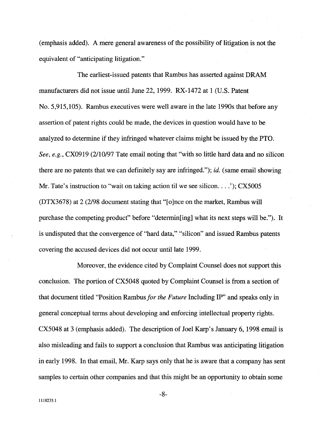(emphasis added). A mere general awareness of the possibilty of litigation is not the equivalent of "anticipating litigation."

The earliest-issued patents that Rambus has asserted against DRAM manufacturers did not issue until June 22, 1999. RX-1472 at 1 (U.S. Patent No. 5,915,105). Rambus executives were well aware in the late 1990s that before any assertion of patent rights could be made, the devices in question would have to be analyzed to determine if they infringed whatever claims might be issued by the PTO. See, e.g., CX0919 (2/10/97 Tate email noting that "with so little hard data and no silicon there are no patents that we can definitely say are infringed."); *id.* (same email showing Mr. Tate's instruction to "wait on taking action til we see silicon. . . .'); CX5005 (DTX3678) at 2 (2/98 document stating that "(o)nce on the market, Rambus wil purchase the competing product" before "determinating] what its next steps will be."). It is undisputed that the convergence of "hard data," "silcon" and issued Rambus patents covering the accused devices did not occur until late 1999.

Moreover, the evidence cited by Complaint Counsel does not support ths conclusion. The portion of CX5048 quoted by Complaint Counsel is from a section of that document titled "Position Rambus for the Future Including IP" and speaks only in general conceptual terms about developing and enforcing intellectual property rights. CX5048 at 3 (emphasis added). The description of Joel Karp's January 6, 1998 email is also misleading and fails to support a conclusion that Rambus was anticipating litigation in early 1998. In that email, Mr. Karp says only that he is aware that a company has sent samples to certain other companies and that this might be an opportunity to obtain some

-8-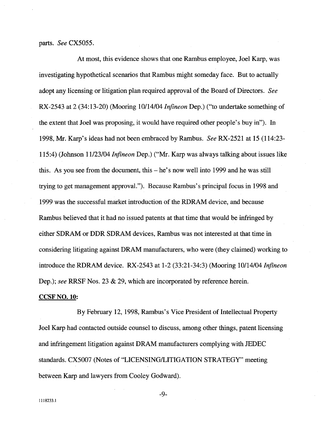parts. See CX5055.

At most, this evidence shows that one Rambus employee, Joel Karp, was investigating hypothetical scenarios that Rambus might someday face. But to actually adopt any licensing or litigation plan required approval of the Board of Directors. See RX-2543 at 2 (34:13-20) (Mooring 10/14/04 Infineon Dep.) ("to undertake something of the extent that Joel was proposing, it would have required other people's buy in"). In 1998, Mr. Karp's ideas had not been embraced by Rambus. See RX-2521 at 15 (114:23-115:4) (Johnson 11/23/04 *Infineon* Dep.) ("Mr. Karp was always talking about issues like this. As you see from the document, this  $-$  he's now well into 1999 and he was still trying to get management approval."). Because Rambus's principal focus in 1998 and 1999 was the successful market introduction of the RDRAM device, and because Rambus believed that it had no issued patents at that time that would be infringed by either SDRAM or DDR SDRAM devices, Rambus was not interested at that time in considering litigating against DRAM manufacturers, who were (they claimed) working to introduce the RDRAM device. RX-2543 at 1-2 (33:21-34:3) (Mooring 10/14/04 Infneon Dep.); see RRSF Nos. 23 & 29, which are incorporated by reference herein.

# CCSF NO. 10:

By February 12, 1998, Rambus's Vice President of Intellectual Property Joel Karp had contacted outside counsel to discuss, among other things, patent licensing and infringement litigation against DRAM manufacturers complying with JEDEC standards. CX5007 (Notes of "LICENSING/LITIGA TION STRATEGY" meeting between Karp and lawyers from Cooley Godward).

-9-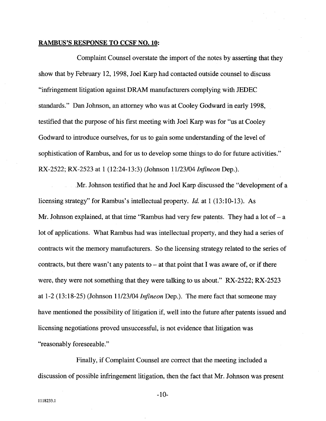### RAMBUS'S RESPONSE TO CCSF NO. 10:

Complaint Counsel overstate the import of the notes by asserting that they show that by February 12, 1998, Joel Karp had contacted outside counsel to discuss "infringement litigation against DRAM manufacturers complying with JEDEC standards:' Dan Johnson, an attorney who was at Cooley Godward in early 1998, testified that the purpose of his first meeting with Joel Karp was for "us at Cooley" Godward to introduce ourselves, for us to gain some understanding of the level of sophistication of Rambus, and for us to develop some things to do for future activities." RX-2522; RX-2523 at 1 (12:24-13:3) (Johnson 11/23/04 Infineon Dep.).

Mr. Johnson testified that he and Joel Karp discussed the "development of a licensing strategy" for Rambus's intellectual property. Id. at I (13:10-13). As Mr. Johnson explained, at that time "Rambus had very few patents. They had a lot of  $-$  a lot of applications. What Rambus had was intellectual property, and they had a series of contracts wit the memory manufacturers. So the licensing strategy related to the series of contracts, but there wasn't any patents to  $-$  at that point that I was aware of, or if there were, they were not something that they were talking to us about." RX-2522; RX-2523 at 1-2 (13:18-25) (Johnson 11/23/04 Infineon Dep.). The mere fact that someone may have mentioned the possibilty of litigation if, well into the future after patents issued and licensing negotiations proved unsuccessful, is not evidence that litigation was "reasonably foreseeable."

Finally, if Complaint Counsel are correct that the meeting included a discussion of possible infringement litigation, then the fact that Mr. Johnson was present

-10-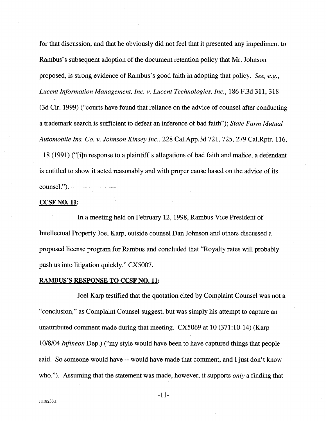for that discussion, and that he obviously did not feel that it presented any impediment to Rambus's subsequent adoption of the document retention policy that Mr. Johnson proposed, is strong evidence of Rambus's good faith in adopting that policy. See, e.g., Lucent Information Management, Inc. v. Lucent Technologies, Inc., 186 F.3d 311,318 (3d Cir. 1999) ("cours have found that reliance on the advice of counsel after conducting a trademark search is sufficient to defeat an inference of bad faith"); State Farm Mutual Automobile Ins. Co. v. Johnson Kinsey Inc., 228 CaLApp.3d 721, 725, 279 CaLRptr. 116, 118 (1991) ("(i)n response to a plaintiff's allegations of bad faith and malice, a defendant is entitled to show it acted reasonably and with proper cause based on the advice of its counseL").

# CCSF NO. 11:

In a meeting held on February 12, 1998, Rambus Vice President of Intellectual Property Joel Karp, outside counsel Dan Johnson and others discussed a proposed license program for Rambus and concluded that "Royalty rates wil probably push us into litigation quickly." CX5007.

# RAMBUS'S RESPONSE TO CCSF NO. 11:

Joel Karp testified that the quotation cited by Complaint Counsel was not a "conclusion," as Complaint Counsel suggest, but was simply his attempt to capture an unattributed comment made during that meeting. CX5069 at 10 (371:10-14) (Kar 10/8/04 Infineon Dep.) ("my style would have been to have captured things that people said. So someone would have -- would have made that comment, and I just don't know who."). Assuming that the statement was made, however, it supports *only* a finding that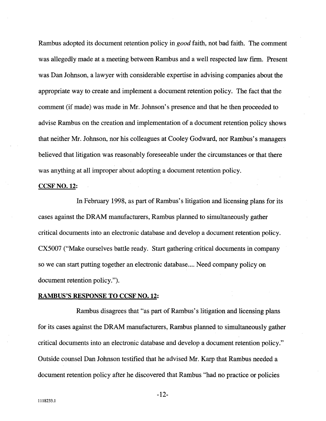Rambus adopted its document retention policy in *good* faith, not bad faith. The comment was allegedly made at a meeting between Rambus and a well respected law firm. Present was Dan Johnson, a lawyer with considerable expertise in advising companies about the appropriate way to create and implement a document retention policy. The fact that the comment (if made) was made in Mr. Johnson's presence and that he then proceeded to advise Rambus on the creation and implementation of a document retention policy shows that neither Mr. Johnson, nor his colleagues at Cooley Godward, nor Rambus's managers believed that litigation was reasonably foreseeable under the circumstances or that there was anything at all improper about adopting a document retention policy.

### CCSF NO. 12:

In February 1998, as part of Rambus's litigation and licensing plans for its cases against the DRAM manufacturers, Rambus planned to simultaneously gather critical documents into an electronic database and develop a document retention policy. CX5007 ("Make ourselves battle ready. Start gathering critical documents in company so we can start putting together an electronic database.... Need company policy on document retention policy.").

### RAMBUS'S RESPONSE TO CCSF NO. 12:

Rambus disagrees that "as part of Rambus's litigation and licensing plans for its cases against the DRAM manufacturers, Rambus planned to simultaneously gather critical documents into an electronic database and develop a document retention policy." Outside counsel Dan Johnson testified that he advised Mr. Karp that Rambus needed a document retention policy after he discovered that Rambus "had no practice or policies

-12-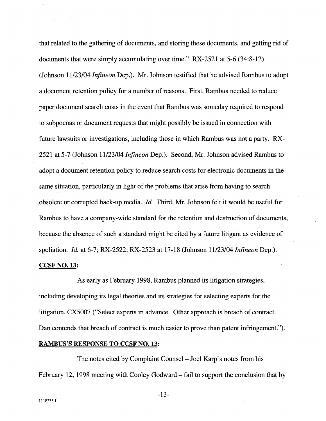that related to the gathering of documents, and storing these documents, and getting rid of documents that were simply accumulating over time." RX-2521 at 5-6 (34:8-12) (Johnson 11/23/04 Infineon Dep.). Mr. Johnson testified that he advised Rambus to adopt a document retention policy for a number of reasons. First, Rambus needed to reduce paper document search costs in the event that Rambus was someday required to respond to subpoenas or document requests that might possibly be issued in connection with futue lawsuits or investigations, including those in which Rambus was not a pary. RX-2521 at 5-7 (Johnson 11/23/04 Infineon Dep.). Second, Mr. Johnson advised Rambus to adopt a document retention policy to reduce search costs for electronic documents in the same situation, paricularly in light of the problems that arise from having to search obsolete or corrupted back-up media. *Id.* Third, Mr. Johnson felt it would be useful for Rambus to have a company-wide standard for the retention and destruction of documents, because the absence of such a standard might be cited by a future litigant as evidence of spoliation. Id. at 6-7; RX-2522; RX-2523 at 17-18 (Johnson 11/23/04 Infineon Dep.). CCSF NO. 13:

As early as February 1998, Rambus planed its litigation strategies, including developing its legal theories and its strategies for selecting experts for the litigation. CX5007 ("Select experts in advance. Other approach is breach of contract. Dan contends that breach of contract is much easier to prove than patent infringement.").

# RAMBUS'S RESPONSE TO CCSF NO. 13:

The notes cited by Complaint Counsel – Joel Karp's notes from his February 12, 1998 meeting with Cooley Godward – fail to support the conclusion that by

-13-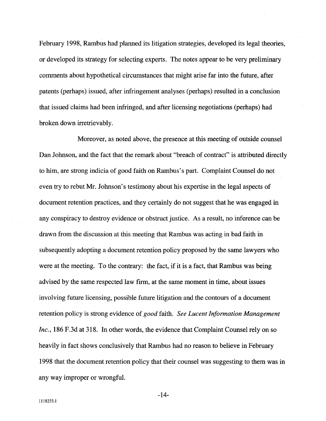February 1998, Rambus had planned its litigation strategies, developed its legal theories, or developed its strategy for selecting experts. The notes appear to be very preliminary comments about hypothetical circumstances that might arse far into the future, after patents (perhaps) issued, after infringement analyses (perhaps) resulted in a conclusion that issued claims had been infringed, and after licensing negotiations (perhaps) had broken down irretrievably.

Moreover, as noted above, the presence at this meeting of outside counsel Dan Johnson, and the fact that the remark about "breach of contract" is attributed directly to him, are strong indicia of good faith on Rambus' s part. Complaint Counsel do not even try to rebut Mr. Johnson's testimony about his expertise in the legal aspects of document retention practices, and they certainly do not suggest that he was engaged in any conspiracy to destroy evidence or obstruct justice. As a result, no inference can be drawn from the discussion at this meeting that Rambus was acting in bad faith in subsequently adopting a document retention policy proposed by the same lawyers who were at the meeting. To the contrary: the fact, if it is a fact, that Rambus was being advised by the same respected law firm, at the same moment in time, about issues involving future licensing, possible future litigation and the contours of a document retention policy is strong evidence of *good* faith. See Lucent Information Management Inc., 186 F.3d at 318. In other words, the evidence that Complaint Counsel rely on so heavily in fact shows conclusively that Rambus had no reason to believe in February 1998 that the document retention policy that their counsel was suggesting to them was in any way improper or wrongfuL

-14-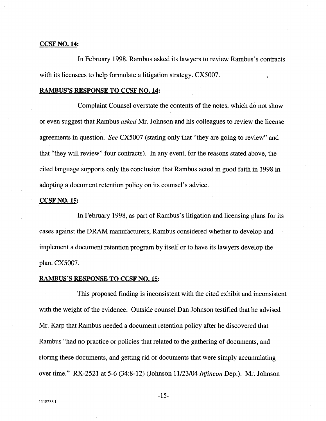# CCSF NO. 14:

In February 1998, Rambus asked its lawyers to review Rambus's contracts with its licensees to help formulate a litigation strategy. CX5007.

# RAMBUS'S RESPONSE TO CCSF NO. 14:

Complaint Counsel overstate the contents of the notes, which do not show or even suggest that Rambus *asked* Mr. Johnson and his colleagues to review the license agreements in question. See CX5007 (stating only that "they are going to review" and that "they will review" four contracts). In any event, for the reasons stated above, the cited language supports only the conclusion that Rambus acted in good faith in 1998 in adopting a document retention policy on its counsel's advice.

### CCSF NO. 15:

In February 1998, as part of Rambus's litigation and licensing plans for its cases against the DRAM manufacturers, Rambus considered whether to develop and implement a document retention program by itself or to have its lawyers develop the plan. CX5007.

# RAMBUS'S RESPONSE TO CCSF NO. 15:

This proposed finding is inconsistent with the cited exhibit and inconsistent with the weight of the evidence. Outside counsel Dan Johnson testified that he advised Mr. Karp that Rambus needed a document retention policy after he discovered that Rambus "had no practice or policies that related to the gathering of documents, and storing these documents, and getting rid of documents that were simply accumulating over time." RX-2521 at 5-6 (34:8-12) (Johnson 11/23/04 Infineon Dep.). Mr. Johnson

-15-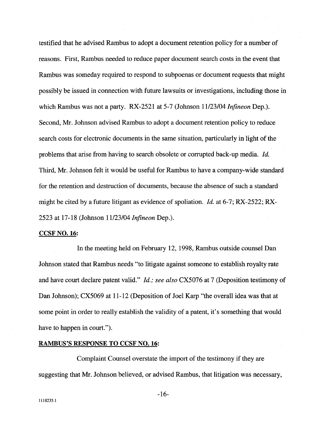testified that he advised Rambus to adopt a document retention policy for a number of reasons. First, Rambus needed to reduce paper document search costs in the event that Rambus was someday required to respond to subpoenas or document requests that might possibly be issued in connection with future lawsuits or investigations, including those in which Rambus was not a party. RX-2521 at 5-7 (Johnson 11/23/04 *Infineon* Dep.). Second, Mr. Johnson advised Rambus to adopt a document retention policy to reduce search costs for electronic documents in the same situation, paricularly in light of the problems that arise from having to search obsolete or corrupted back-up media. *Id.* Third, Mr. Johnson felt it would be useful for Rambus to have a company-wide standard for the retention and destruction of documents, because the absence of such a standard might be cited by a future litigant as evidence of spoliation. *Id.* at 6-7; RX-2522; RX-2523 at 17-18 (Johnson 11/23/04 *Infineon* Dep.).

### CCSF NO. 16:

In the meeting held on February 12, 1998, Rambus outside counsel Dan Johnson stated that Rambus needs "to litigate against someone to establish royalty rate and have court declare patent valid." *Id.; see also* CX5076 at 7 (Deposition testimony of Dan Johnson); CX5069 at 11-12 (Deposition of Joel Karp "the overall idea was that at some point in order to really establish the validity of a patent, it's something that would have to happen in court.").

# RAMBUS'S RESPONSE TO CCSF NO. 16:

Complaint Counsel overstate the import of the testimony if they are suggesting that Mr. Johnson believed, or advised Rambus, that litigation was necessary,

-16-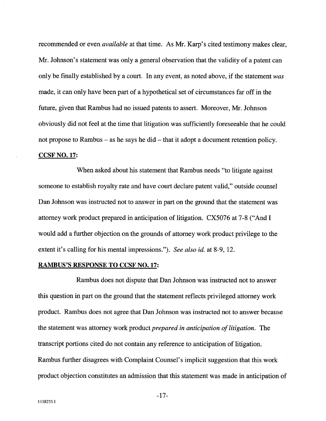recommended or even *available* at that time. As Mr. Karp's cited testimony makes clear, Mr. Johnson's statement was only a general observation that the validity of a patent can only be finally established by a court. In any event, as noted above, if the statement was made, it can only have been part of a hypothetical set of circumstances far off in the futue, given that Rambus had no issued patents to assert. Moreover, Mr. Johnson obviously did not feel at the time that litigation was sufficiently foreseeable that he could not propose to Rambus – as he says he did – that it adopt a document retention policy. CCSF NO. 17:

When asked about his statement that Rambus needs "to litigate against someone to establish royalty rate and have court declare patent valid," outside counsel Dan Johnson was instructed not to answer in part on the ground that the statement was attorney work product prepared in anticipation of litigation. CX5076 at 7-8 ("And I would add a further objection on the grounds of attorney work product privilege to the extent it's calling for his mental impressions."). See also id. at 8-9, 12.

# RAMBUS'S RESPONSE TO CCSF NO. 17:

Rambus does not dispute that Dan Johnson was instructed not to answer this question in part on the ground that the statement reflects privileged attorney work product. Rambus does not agree that Dan Johnson was instructed not to answer because the statement was attorney work product *prepared in anticipation of litigation*. The transcript portions cited do not contain any reference to anticipation of litigation. Rambus further disagrees with Complaint Counsel's implicit suggestion that this work product objection constitutes an admission that this statement was made in anticipation of

-17-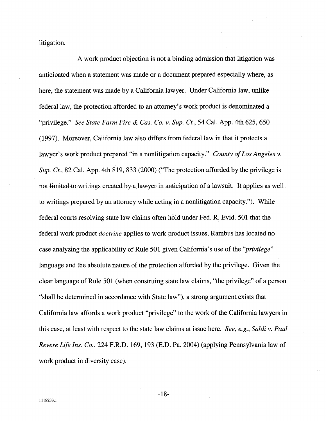litigation.

A work product objection is not a binding admission that litigation was anticipated when a statement was made or a document prepared especially where, as here, the statement was made by a California lawyer. Under California law, unlike federal law, the protection afforded to an attorney's work product is denominated a "privilege." See State Farm Fire & Cas. Co. v. Sup. Ct., 54 Cal. App. 4th 625, 650 (1997). Moreover, California law also differs from federal law in that it protects a lawyer's work product prepared "in a nonlitigation capacity." County of Los Angeles v. Sup. Ct., 82 Cal. App. 4th 819, 833 (2000) ("The protection afforded by the privilege is not limited to writings created by a lawyer in anticipation of a lawsuit. It applies as well to writings prepared by an attorney while acting in a nonlitigation capacity."). While federal courts resolving state law claims often hòld under Fed. R. Evid. 501 that the federal work product doctrine applies to work product issues, Rambus has located no case analyzing the applicability of Rule 501 given California's use of the "*privilege*" language and the absolute nature of the protection afforded by the privilege. Given the clear language of Rule 501 (when construing state law claims, "the privilege" of a person "shall be determined in accordance with State law"), a strong argument exists that California law affords a work product "privilege" to the work of the California lawyers in this case, at least with respect to the state law claims at issue here. See, e.g., Saldi v. Paul Revere Life Ins. Co., 224 F.R.D. 169, 193 (E.D. Pa. 2004) (applying Pennsylvania law of work product in diversity case).

-18-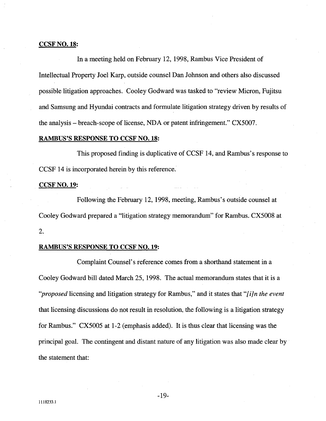# CCSF NO. 18:

In a meeting held on February 12, 1998, Rambus Vice President of Intellectual Property Joel Karp, outside counsel Dan Johnson and others also discussed possible litigation approaches. Cooley Godward was tasked to "review Micron, Fujitsu and Samsung and Hyundai contracts and formulate litigation strategy driven by results of the analysis - breach-scope of license, NDA or patent infringement." CX5007.

# RAMBUS'S RESPONSE TO CCSF NO. 18:

This proposed finding is duplicative of CCSF 14, and Rambus's response to CCSF 14 is incorporated herein by this reference.

# CCSF NO. 19:

Following the February 12, 1998, meeting, Rambus's outside counsel at Cooley Godward prepared a "litigation strategy memorandum" for Rambus. CX5008 at 2.

# RAMBUS'S RESPONSE TO CCSF NO. 19:

Complaint Counsel's reference comes from a shorthand statement in a Cooley Godward bill dated March 25, 1998. The actual memorandum states that it is a "proposed licensing and litigation strategy for Rambus," and it states that "[i]n the event that licensing discussions do not result in resolution, the following is a litigation strategy for Rambus." CX5005 at 1-2 (emphasis added). It is thus clear that licensing was the principal goaL The contingent and distant nature of any litigation was also made clear by the statement that: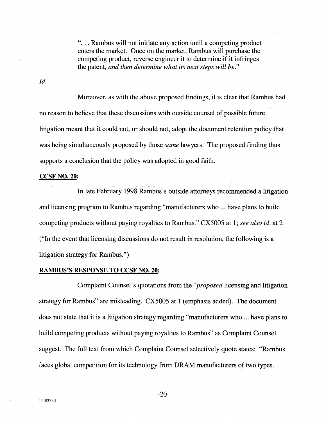"... Rambus will not initiate any action until a competing product enters the market. Once on the market, Rambus will purchase the competing product, reverse engineer it to determine if it infringes the patent, and then determine what its next steps will be."

Id.

Moreover, as with the above proposed findings, it is clear that Rambus had no reason to believe that these discussions with outside counsel of possible future litigation meant that it could not, or should not, adopt the document retention policy that was being simultaneously proposed by those *same* lawyers. The proposed finding thus supports a conclusion that the policy was adopted in good faith.

# CCSF NO. 20:

u In late February 1998 Rambus's outside attorneys recommended a litigation and licensing program to Rambus regarding "manufacturers who ... have plans to build competing products without paying royalties to Rambus." CX5005 at 1; see also id. at 2 ("In the event that licensing discussions do not result in resolution, the following is a litigation strategy for Rambus.")

# RAMBUS'S RESPONSE TO CCSF NO. 20:

Complaint Counsel's quotations from the "proposed licensing and litigation strategy for Rambus" are misleading. CX5005 at 1 (emphasis added). The document does not state that it is a litigation strategy regarding "manufacturers who ... have plans to build competing products without paying royalties to Rambus" as Complaint Counsel suggest. The full text from which Complaint Counsel selectively quote states: "Rambus faces global competition for its technology from DRAM manufacturers of two types.

-20-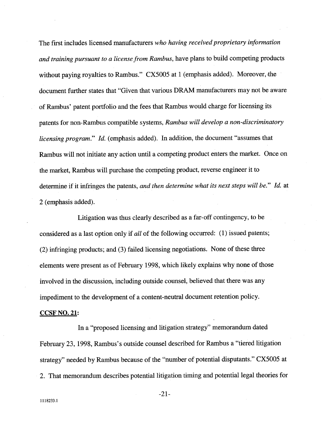The first includes licensed manufacturers who having received proprietary information and training pursuant to a license from Rambus, have plans to build competing products without paying royalties to Rambus."  $CX5005$  at 1 (emphasis added). Moreover, the document further states that "Given that various DRAM manufacturers may not be aware of Rambus' patent portfolio and the fees that Rambus would charge for licensing its patents for non-Rambus compatible systems, Rambus will develop a non-discriminatory licensing program." Id. (emphasis added). In addition, the document "assumes that Rambus will not initiate any action until a competing product enters the market. Once on the market, Rambus will purchase the competing product, reverse engineer it to determine if it infringes the patents, and then determine what its next steps will be." Id. at 2 (emphasis added).

Litigation was thus clearly described as a far-off contingency, to be considered as a last option only if all of the following occurred: (1) issued patents; (2) infringing products; and (3) failed licensing negotiations. None of these thee elements were present as of February 1998, which likely explains why none of those involved in the discussion, including outside counsel, believed that there was any impediment to the development of a content-neutral document retention policy.

# CCSF NO. 21:

In a "proposed licensing and litigation strategy" memorandum dated February 23, 1998, Rambus's outside counsel described for Rambus a "tiered litigation strategy" needed by Rambus because of the "number of potential disputants." CX5005 at 2. That memorandum describes potential litigation timing and potential legal theories for

-21-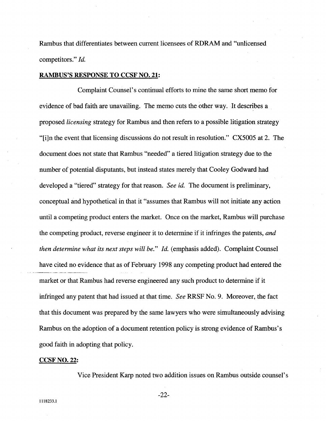Rambus that differentiates between curent licensees of RDRAM and "unicensed competitors." *Id.* 

### RAMBUS'S RESPONSE TO CCSF NO. 21:

Complaint Counsel's continual efforts to mine the same short memo for evidence of bad faith are unavailing. The memo cuts the other way. It describes a proposed licensing strategy for Rambus and then refers to a possible litigation strategy "(i)n the event that licensing discussions do not result in resolution." CX5005 at 2. The document does not state that Rambus "needed" a tiered litigation strategy due to the number of potential disputants, but instead states merely that Cooley Godward had developed a "tiered" strategy for that reason. See id. The document is preliminary, conceptual and hypothetical in that it "assumes that Rambus will not initiate any action until a competing product enters the market. Once on the market, Rambus will purchase the competing product, reverse engineer it to determine if it infringes the patents, and then determine what its next steps will be." Id. (emphasis added). Complaint Counsel have cited no evidence that as of February 1998 any competing product had entered the market or that Rambus had reverse engineered any such product to determine if it infringed any patent that had issued at that time. See RRSF No. 9. Moreover, the fact that this document was prepared by the same lawyers who were simultaneously advising Rambus on the adoption of a document retention policy is strong evidence of Rambus' s good faith in adopting that policy.

# CCSF NO. 22:

Vice President Karp noted two addition issues on Rambus outside counsel's

-22-